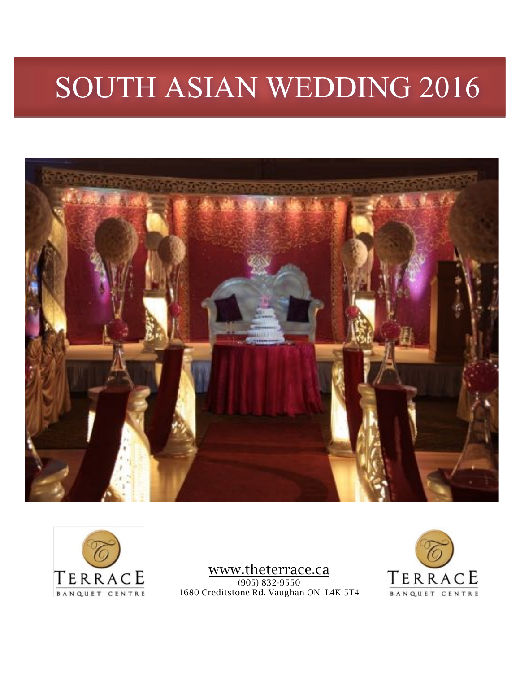# SOUTH ASIAN WEDDING 2016





www.theterrace.ca (905) 832-9550 1680 Creditstone Rd. Vaughan ON L4K 5T4

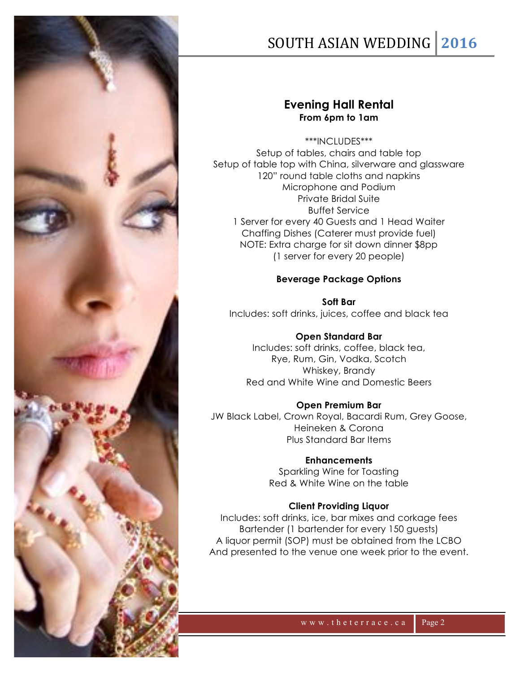

## SOUTH ASIAN WEDDING | 2016

#### **Evening Hall Rental From 6pm to 1am**

\*\*\*INCLUDES\*\*\* Setup of tables, chairs and table top Setup of table top with China, silverware and glassware 120" round table cloths and napkins Microphone and Podium Private Bridal Suite Buffet Service 1 Server for every 40 Guests and 1 Head Waiter Chaffing Dishes (Caterer must provide fuel) NOTE: Extra charge for sit down dinner \$8pp (1 server for every 20 people)

#### **Beverage Package Options**

**Soft Bar** Includes: soft drinks, juices, coffee and black tea

**Open Standard Bar** Includes: soft drinks, coffee, black tea, Rye, Rum, Gin, Vodka, Scotch Whiskey, Brandy Red and White Wine and Domestic Beers

#### **Open Premium Bar**

JW Black Label, Crown Royal, Bacardi Rum, Grey Goose, Heineken & Corona Plus Standard Bar Items

**Enhancements**

Sparkling Wine for Toasting Red & White Wine on the table

#### **Client Providing Liquor**

Includes: soft drinks, ice, bar mixes and corkage fees Bartender (1 bartender for every 150 guests) A liquor permit (SOP) must be obtained from the LCBO And presented to the venue one week prior to the event.